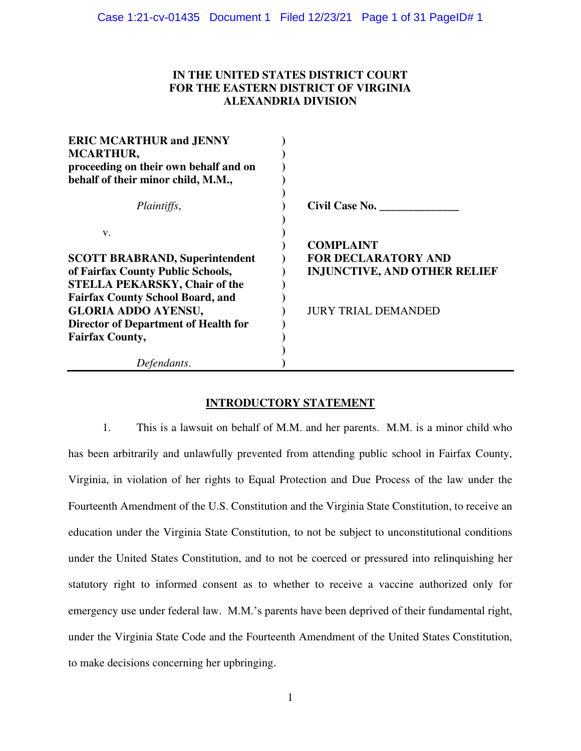# **IN THE UNITED STATES DISTRICT COURT FOR THE EASTERN DISTRICT OF VIRGINIA ALEXANDRIA DIVISION**

| <b>ERIC MCARTHUR and JENNY</b><br><b>MCARTHUR,</b> |                                     |
|----------------------------------------------------|-------------------------------------|
| proceeding on their own behalf and on              |                                     |
| behalf of their minor child, M.M.,                 |                                     |
| Plaintiffs,                                        | Civil Case No.                      |
| V.                                                 |                                     |
|                                                    | <b>COMPLAINT</b>                    |
| <b>SCOTT BRABRAND, Superintendent</b>              | <b>FOR DECLARATORY AND</b>          |
| of Fairfax County Public Schools,                  | <b>INJUNCTIVE, AND OTHER RELIEF</b> |
| <b>STELLA PEKARSKY, Chair of the</b>               |                                     |
| <b>Fairfax County School Board, and</b>            |                                     |
| <b>GLORIA ADDO AYENSU,</b>                         | <b>JURY TRIAL DEMANDED</b>          |
| <b>Director of Department of Health for</b>        |                                     |
| <b>Fairfax County,</b>                             |                                     |
|                                                    |                                     |
| Defendants.                                        |                                     |

# **INTRODUCTORY STATEMENT**

1. This is a lawsuit on behalf of M.M. and her parents. M.M. is a minor child who has been arbitrarily and unlawfully prevented from attending public school in Fairfax County, Virginia, in violation of her rights to Equal Protection and Due Process of the law under the Fourteenth Amendment of the U.S. Constitution and the Virginia State Constitution, to receive an education under the Virginia State Constitution, to not be subject to unconstitutional conditions under the United States Constitution, and to not be coerced or pressured into relinquishing her statutory right to informed consent as to whether to receive a vaccine authorized only for emergency use under federal law. M.M.'s parents have been deprived of their fundamental right, under the Virginia State Code and the Fourteenth Amendment of the United States Constitution, to make decisions concerning her upbringing.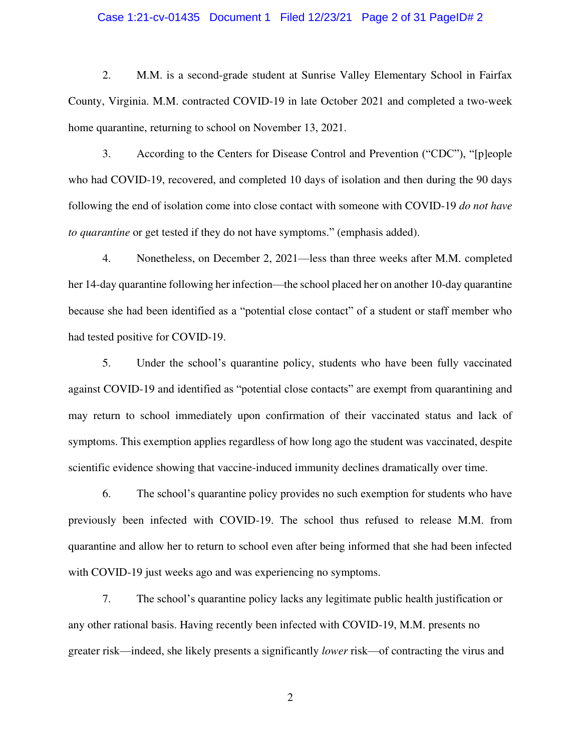## Case 1:21-cv-01435 Document 1 Filed 12/23/21 Page 2 of 31 PageID# 2

2. M.M. is a second-grade student at Sunrise Valley Elementary School in Fairfax County, Virginia. M.M. contracted COVID-19 in late October 2021 and completed a two-week home quarantine, returning to school on November 13, 2021.

3. According to the Centers for Disease Control and Prevention ("CDC"), "[p]eople who had COVID-19, recovered, and completed 10 days of isolation and then during the 90 days following the end of isolation come into close contact with someone with COVID-19 *do not have to quarantine* or get tested if they do not have symptoms." (emphasis added).

4. Nonetheless, on December 2, 2021—less than three weeks after M.M. completed her 14-day quarantine following her infection—the school placed her on another 10-day quarantine because she had been identified as a "potential close contact" of a student or staff member who had tested positive for COVID-19.

5. Under the school's quarantine policy, students who have been fully vaccinated against COVID-19 and identified as "potential close contacts" are exempt from quarantining and may return to school immediately upon confirmation of their vaccinated status and lack of symptoms. This exemption applies regardless of how long ago the student was vaccinated, despite scientific evidence showing that vaccine-induced immunity declines dramatically over time.

6. The school's quarantine policy provides no such exemption for students who have previously been infected with COVID-19. The school thus refused to release M.M. from quarantine and allow her to return to school even after being informed that she had been infected with COVID-19 just weeks ago and was experiencing no symptoms.

7. The school's quarantine policy lacks any legitimate public health justification or any other rational basis. Having recently been infected with COVID-19, M.M. presents no greater risk—indeed, she likely presents a significantly *lower* risk—of contracting the virus and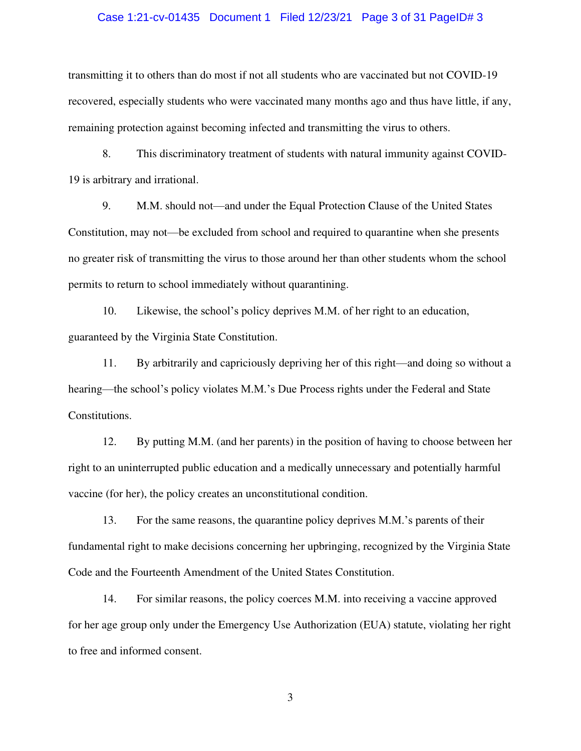#### Case 1:21-cv-01435 Document 1 Filed 12/23/21 Page 3 of 31 PageID# 3

transmitting it to others than do most if not all students who are vaccinated but not COVID-19 recovered, especially students who were vaccinated many months ago and thus have little, if any, remaining protection against becoming infected and transmitting the virus to others.

8. This discriminatory treatment of students with natural immunity against COVID-19 is arbitrary and irrational.

9. M.M. should not—and under the Equal Protection Clause of the United States Constitution, may not—be excluded from school and required to quarantine when she presents no greater risk of transmitting the virus to those around her than other students whom the school permits to return to school immediately without quarantining.

10. Likewise, the school's policy deprives M.M. of her right to an education, guaranteed by the Virginia State Constitution.

11. By arbitrarily and capriciously depriving her of this right—and doing so without a hearing—the school's policy violates M.M.'s Due Process rights under the Federal and State Constitutions.

12. By putting M.M. (and her parents) in the position of having to choose between her right to an uninterrupted public education and a medically unnecessary and potentially harmful vaccine (for her), the policy creates an unconstitutional condition.

13. For the same reasons, the quarantine policy deprives M.M.'s parents of their fundamental right to make decisions concerning her upbringing, recognized by the Virginia State Code and the Fourteenth Amendment of the United States Constitution.

14. For similar reasons, the policy coerces M.M. into receiving a vaccine approved for her age group only under the Emergency Use Authorization (EUA) statute, violating her right to free and informed consent.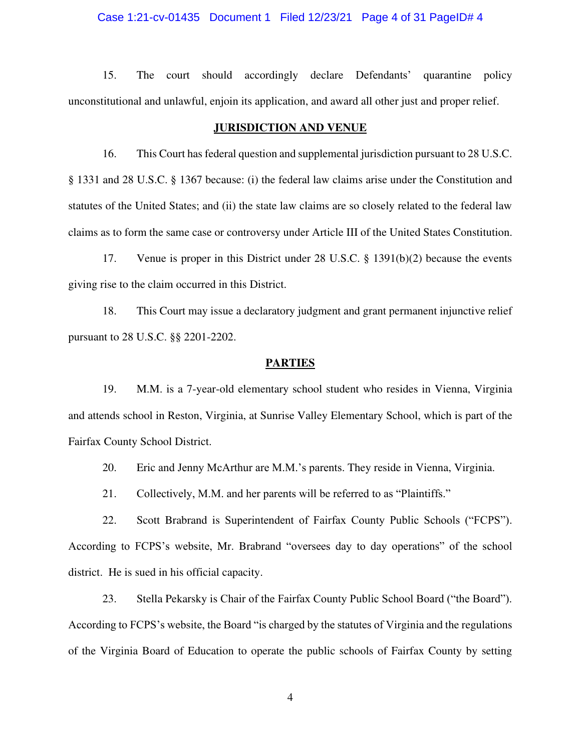### Case 1:21-cv-01435 Document 1 Filed 12/23/21 Page 4 of 31 PageID# 4

15. The court should accordingly declare Defendants' quarantine policy unconstitutional and unlawful, enjoin its application, and award all other just and proper relief.

### **JURISDICTION AND VENUE**

16. This Court has federal question and supplemental jurisdiction pursuant to 28 U.S.C. § 1331 and 28 U.S.C. § 1367 because: (i) the federal law claims arise under the Constitution and statutes of the United States; and (ii) the state law claims are so closely related to the federal law claims as to form the same case or controversy under Article III of the United States Constitution.

17. Venue is proper in this District under 28 U.S.C. § 1391(b)(2) because the events giving rise to the claim occurred in this District.

18. This Court may issue a declaratory judgment and grant permanent injunctive relief pursuant to 28 U.S.C. §§ 2201-2202.

#### **PARTIES**

19. M.M. is a 7-year-old elementary school student who resides in Vienna, Virginia and attends school in Reston, Virginia, at Sunrise Valley Elementary School, which is part of the Fairfax County School District.

20. Eric and Jenny McArthur are M.M.'s parents. They reside in Vienna, Virginia.

21. Collectively, M.M. and her parents will be referred to as "Plaintiffs."

22. Scott Brabrand is Superintendent of Fairfax County Public Schools ("FCPS"). According to FCPS's website, Mr. Brabrand "oversees day to day operations" of the school district. He is sued in his official capacity.

23. Stella Pekarsky is Chair of the Fairfax County Public School Board ("the Board"). According to FCPS's website, the Board "is charged by the statutes of Virginia and the regulations of the Virginia Board of Education to operate the public schools of Fairfax County by setting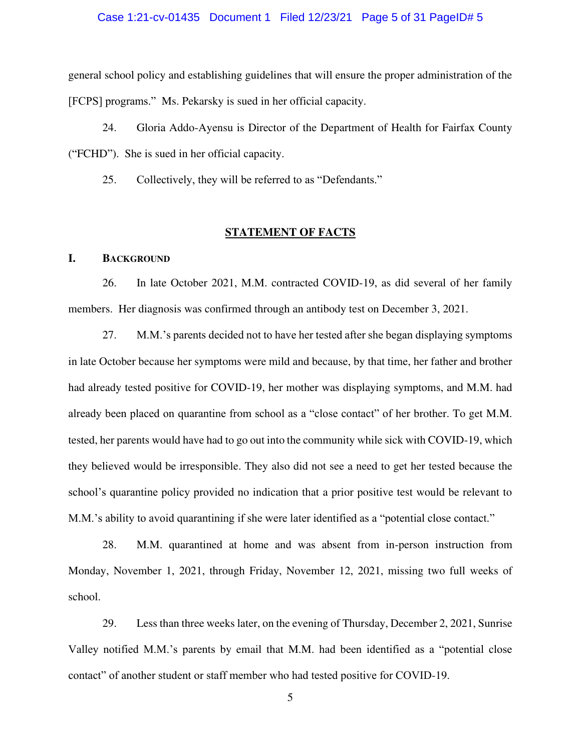### Case 1:21-cv-01435 Document 1 Filed 12/23/21 Page 5 of 31 PageID# 5

general school policy and establishing guidelines that will ensure the proper administration of the [FCPS] programs." Ms. Pekarsky is sued in her official capacity.

24. Gloria Addo-Ayensu is Director of the Department of Health for Fairfax County ("FCHD"). She is sued in her official capacity.

25. Collectively, they will be referred to as "Defendants."

## **STATEMENT OF FACTS**

#### **I. BACKGROUND**

26. In late October 2021, M.M. contracted COVID-19, as did several of her family members. Her diagnosis was confirmed through an antibody test on December 3, 2021.

27. M.M.'s parents decided not to have her tested after she began displaying symptoms in late October because her symptoms were mild and because, by that time, her father and brother had already tested positive for COVID-19, her mother was displaying symptoms, and M.M. had already been placed on quarantine from school as a "close contact" of her brother. To get M.M. tested, her parents would have had to go out into the community while sick with COVID-19, which they believed would be irresponsible. They also did not see a need to get her tested because the school's quarantine policy provided no indication that a prior positive test would be relevant to M.M.'s ability to avoid quarantining if she were later identified as a "potential close contact."

28. M.M. quarantined at home and was absent from in-person instruction from Monday, November 1, 2021, through Friday, November 12, 2021, missing two full weeks of school.

29. Less than three weeks later, on the evening of Thursday, December 2, 2021, Sunrise Valley notified M.M.'s parents by email that M.M. had been identified as a "potential close contact" of another student or staff member who had tested positive for COVID-19.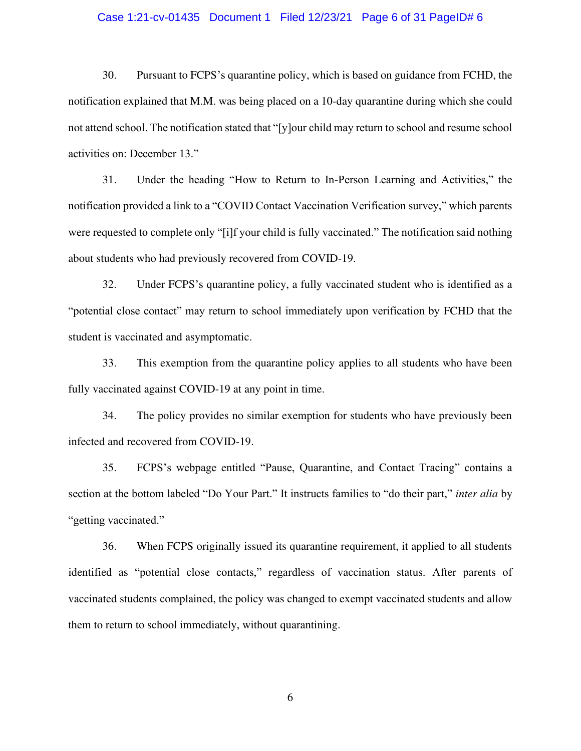### Case 1:21-cv-01435 Document 1 Filed 12/23/21 Page 6 of 31 PageID# 6

30. Pursuant to FCPS's quarantine policy, which is based on guidance from FCHD, the notification explained that M.M. was being placed on a 10-day quarantine during which she could not attend school. The notification stated that "[y]our child may return to school and resume school activities on: December 13."

31. Under the heading "How to Return to In-Person Learning and Activities," the notification provided a link to a "COVID Contact Vaccination Verification survey," which parents were requested to complete only "[i]f your child is fully vaccinated." The notification said nothing about students who had previously recovered from COVID-19.

32. Under FCPS's quarantine policy, a fully vaccinated student who is identified as a "potential close contact" may return to school immediately upon verification by FCHD that the student is vaccinated and asymptomatic.

33. This exemption from the quarantine policy applies to all students who have been fully vaccinated against COVID-19 at any point in time.

34. The policy provides no similar exemption for students who have previously been infected and recovered from COVID-19.

35. FCPS's webpage entitled "Pause, Quarantine, and Contact Tracing" contains a section at the bottom labeled "Do Your Part." It instructs families to "do their part," *inter alia* by "getting vaccinated."

36. When FCPS originally issued its quarantine requirement, it applied to all students identified as "potential close contacts," regardless of vaccination status. After parents of vaccinated students complained, the policy was changed to exempt vaccinated students and allow them to return to school immediately, without quarantining.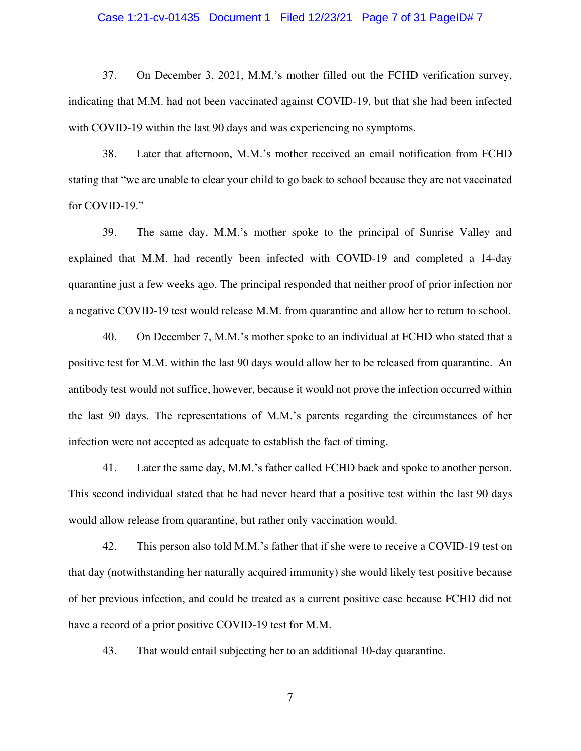### Case 1:21-cv-01435 Document 1 Filed 12/23/21 Page 7 of 31 PageID# 7

37. On December 3, 2021, M.M.'s mother filled out the FCHD verification survey, indicating that M.M. had not been vaccinated against COVID-19, but that she had been infected with COVID-19 within the last 90 days and was experiencing no symptoms.

38. Later that afternoon, M.M.'s mother received an email notification from FCHD stating that "we are unable to clear your child to go back to school because they are not vaccinated for COVID-19."

39. The same day, M.M.'s mother spoke to the principal of Sunrise Valley and explained that M.M. had recently been infected with COVID-19 and completed a 14-day quarantine just a few weeks ago. The principal responded that neither proof of prior infection nor a negative COVID-19 test would release M.M. from quarantine and allow her to return to school.

40. On December 7, M.M.'s mother spoke to an individual at FCHD who stated that a positive test for M.M. within the last 90 days would allow her to be released from quarantine. An antibody test would not suffice, however, because it would not prove the infection occurred within the last 90 days. The representations of M.M.'s parents regarding the circumstances of her infection were not accepted as adequate to establish the fact of timing.

41. Later the same day, M.M.'s father called FCHD back and spoke to another person. This second individual stated that he had never heard that a positive test within the last 90 days would allow release from quarantine, but rather only vaccination would.

42. This person also told M.M.'s father that if she were to receive a COVID-19 test on that day (notwithstanding her naturally acquired immunity) she would likely test positive because of her previous infection, and could be treated as a current positive case because FCHD did not have a record of a prior positive COVID-19 test for M.M.

43. That would entail subjecting her to an additional 10-day quarantine.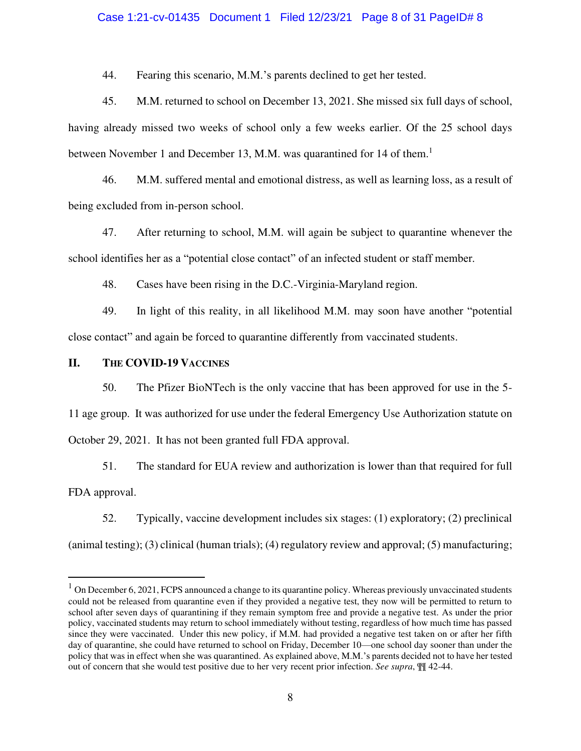### Case 1:21-cv-01435 Document 1 Filed 12/23/21 Page 8 of 31 PageID# 8

44. Fearing this scenario, M.M.'s parents declined to get her tested.

45. M.M. returned to school on December 13, 2021. She missed six full days of school, having already missed two weeks of school only a few weeks earlier. Of the 25 school days between November 1 and December 13, M.M. was quarantined for 14 of them.<sup>1</sup>

46. M.M. suffered mental and emotional distress, as well as learning loss, as a result of being excluded from in-person school.

47. After returning to school, M.M. will again be subject to quarantine whenever the school identifies her as a "potential close contact" of an infected student or staff member.

48. Cases have been rising in the D.C.-Virginia-Maryland region.

49. In light of this reality, in all likelihood M.M. may soon have another "potential close contact" and again be forced to quarantine differently from vaccinated students.

## **II. THE COVID-19 VACCINES**

50. The Pfizer BioNTech is the only vaccine that has been approved for use in the 5- 11 age group. It was authorized for use under the federal Emergency Use Authorization statute on October 29, 2021. It has not been granted full FDA approval.

51. The standard for EUA review and authorization is lower than that required for full FDA approval.

52. Typically, vaccine development includes six stages: (1) exploratory; (2) preclinical (animal testing); (3) clinical (human trials); (4) regulatory review and approval; (5) manufacturing;

 $1$  On December 6, 2021, FCPS announced a change to its quarantine policy. Whereas previously unvaccinated students could not be released from quarantine even if they provided a negative test, they now will be permitted to return to school after seven days of quarantining if they remain symptom free and provide a negative test. As under the prior policy, vaccinated students may return to school immediately without testing, regardless of how much time has passed since they were vaccinated. Under this new policy, if M.M. had provided a negative test taken on or after her fifth day of quarantine, she could have returned to school on Friday, December 10—one school day sooner than under the policy that was in effect when she was quarantined. As explained above, M.M.'s parents decided not to have her tested out of concern that she would test positive due to her very recent prior infection. *See supra*, ¶¶ 42-44.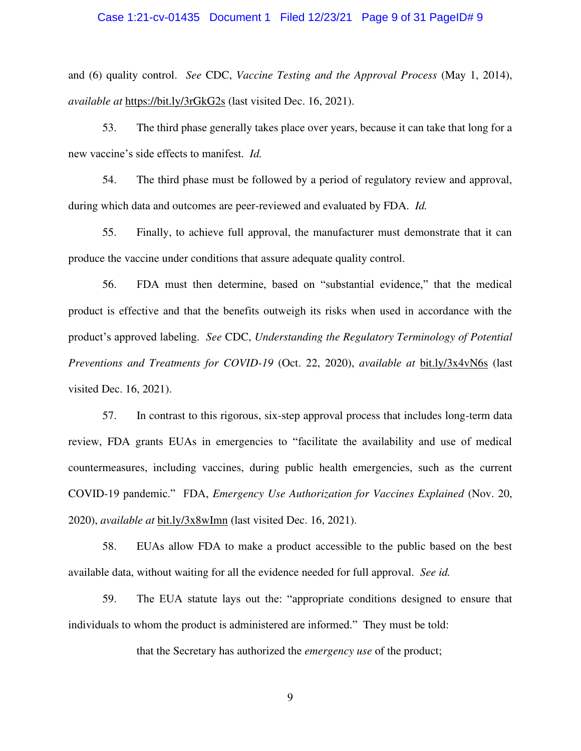### Case 1:21-cv-01435 Document 1 Filed 12/23/21 Page 9 of 31 PageID# 9

and (6) quality control. *See* CDC, *Vaccine Testing and the Approval Process* (May 1, 2014), *available at* <https://bit.ly/3rGkG2s> (last visited Dec. 16, 2021).

53. The third phase generally takes place over years, because it can take that long for a new vaccine's side effects to manifest. *Id.*

54. The third phase must be followed by a period of regulatory review and approval, during which data and outcomes are peer-reviewed and evaluated by FDA. *Id.*

55. Finally, to achieve full approval, the manufacturer must demonstrate that it can produce the vaccine under conditions that assure adequate quality control.

56. FDA must then determine, based on "substantial evidence," that the medical product is effective and that the benefits outweigh its risks when used in accordance with the product's approved labeling. *See* CDC, *Understanding the Regulatory Terminology of Potential Preventions and Treatments for COVID-19* (Oct. 22, 2020), *available at* [bit.ly/3x4vN6s](file:///C:/Users/Jeff%20Clark.WORKGROUP/AppData/Roaming/Microsoft/Word/bit.ly/3x4vN6s) (last visited Dec. 16, 2021).

57. In contrast to this rigorous, six-step approval process that includes long-term data review, FDA grants EUAs in emergencies to "facilitate the availability and use of medical countermeasures, including vaccines, during public health emergencies, such as the current COVID-19 pandemic." FDA, *Emergency Use Authorization for Vaccines Explained* (Nov. 20, 2020), *available at* [bit.ly/3x8wImn](file:///C:/Users/Jeff%20Clark.WORKGROUP/AppData/Roaming/Microsoft/Word/bit.ly/3x8wImn) (last visited Dec. 16, 2021).

58. EUAs allow FDA to make a product accessible to the public based on the best available data, without waiting for all the evidence needed for full approval. *See id.*

59. The EUA statute lays out the: "appropriate conditions designed to ensure that individuals to whom the [product](https://www.law.cornell.edu/definitions/uscode.php?width=840&height=800&iframe=true&def_id=21-USC-309474065-1242874613&term_occur=999&term_src=title:21:chapter:9:subchapter:V:part:E:section:360bbb%E2%80%933) is administered are informed." They must be told:

that the [Secretary](https://www.law.cornell.edu/definitions/uscode.php?width=840&height=800&iframe=true&def_id=21-USC-1264422296-751111581&term_occur=999&term_src=) has authorized the *[emergency use](https://www.law.cornell.edu/definitions/uscode.php?width=840&height=800&iframe=true&def_id=21-USC-180754824-1242874613&term_occur=999&term_src=)* of th[e product;](https://www.law.cornell.edu/definitions/uscode.php?width=840&height=800&iframe=true&def_id=21-USC-309474065-1242874613&term_occur=999&term_src=title:21:chapter:9:subchapter:V:part:E:section:360bbb%E2%80%933)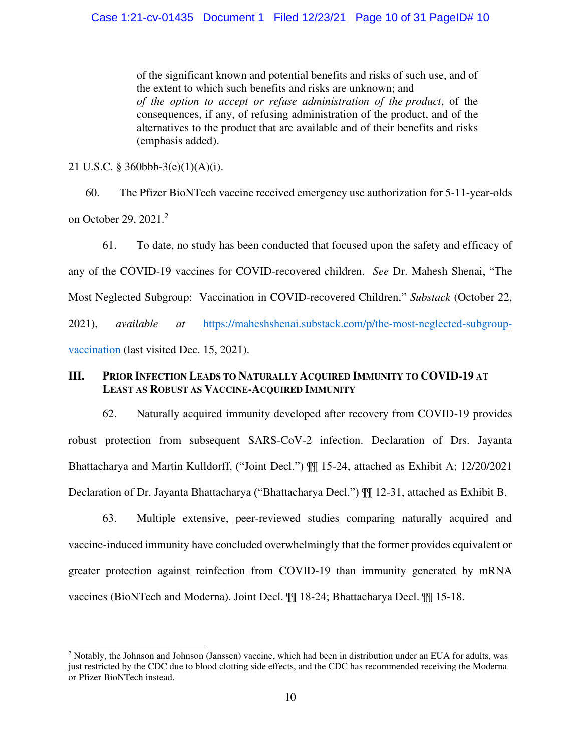of the significant known and potential benefits and risks of such use, and of the extent to which such benefits and risks are unknown; and *of the option to accept or refuse administration of the [product](https://www.law.cornell.edu/definitions/uscode.php?width=840&height=800&iframe=true&def_id=21-USC-309474065-1242874613&term_occur=999&term_src=title:21:chapter:9:subchapter:V:part:E:section:360bbb%E2%80%933)*, of the consequences, if any, of refusing administration of the [product,](https://www.law.cornell.edu/definitions/uscode.php?width=840&height=800&iframe=true&def_id=21-USC-309474065-1242874613&term_occur=999&term_src=title:21:chapter:9:subchapter:V:part:E:section:360bbb%E2%80%933) and of the alternatives to the [product](https://www.law.cornell.edu/definitions/uscode.php?width=840&height=800&iframe=true&def_id=21-USC-309474065-1242874613&term_occur=999&term_src=title:21:chapter:9:subchapter:V:part:E:section:360bbb%E2%80%933) that are available and of their benefits and risks (emphasis added).

21 U.S.C. § 360bbb-3(e)(1)(A)(i).

60. The Pfizer BioNTech vaccine received emergency use authorization for 5-11-year-olds on October 29, 2021.<sup>2</sup>

61. To date, no study has been conducted that focused upon the safety and efficacy of any of the COVID-19 vaccines for COVID-recovered children. *See* Dr. Mahesh Shenai, "The Most Neglected Subgroup: Vaccination in COVID-recovered Children," *Substack* (October 22, 2021), *available at* [https://maheshshenai.substack.com/p/the-most-neglected-subgroup](https://maheshshenai.substack.com/p/the-most-neglected-subgroup-vaccination)[vaccination](https://maheshshenai.substack.com/p/the-most-neglected-subgroup-vaccination) (last visited Dec. 15, 2021).

# **III. PRIOR INFECTION LEADS TO NATURALLY ACQUIRED IMMUNITY TO COVID-19 AT LEAST AS ROBUST AS VACCINE-ACQUIRED IMMUNITY**

62. Naturally acquired immunity developed after recovery from COVID-19 provides robust protection from subsequent SARS-CoV-2 infection. Declaration of Drs. Jayanta Bhattacharya and Martin Kulldorff, ("Joint Decl.") ¶¶ 15-24, attached as Exhibit A; 12/20/2021 Declaration of Dr. Jayanta Bhattacharya ("Bhattacharya Decl.") ¶¶ 12-31, attached as Exhibit B.

63. Multiple extensive, peer-reviewed studies comparing naturally acquired and vaccine-induced immunity have concluded overwhelmingly that the former provides equivalent or greater protection against reinfection from COVID-19 than immunity generated by mRNA vaccines (BioNTech and Moderna). Joint Decl. ¶¶ 18-24; Bhattacharya Decl. ¶¶ 15-18.

<sup>&</sup>lt;sup>2</sup> Notably, the Johnson and Johnson (Janssen) vaccine, which had been in distribution under an EUA for adults, was just restricted by the CDC due to blood clotting side effects, and the CDC has recommended receiving the Moderna or Pfizer BioNTech instead.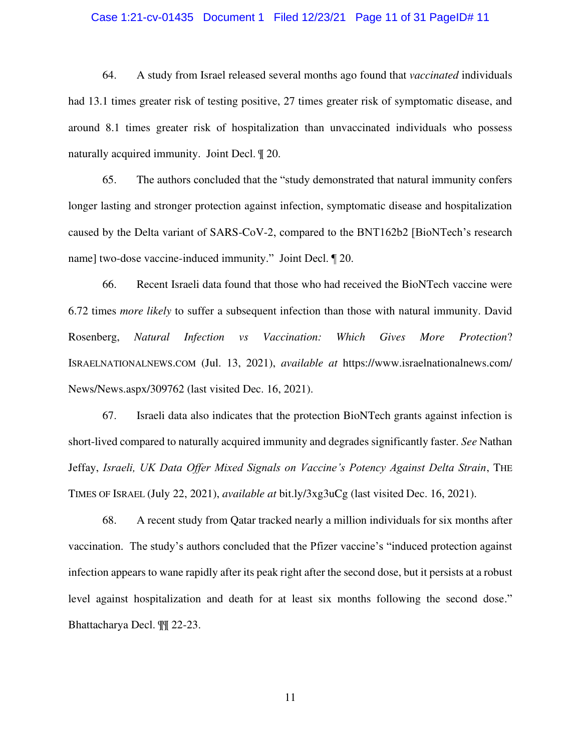#### Case 1:21-cv-01435 Document 1 Filed 12/23/21 Page 11 of 31 PageID# 11

64. A study from Israel released several months ago found that *vaccinated* individuals had 13.1 times greater risk of testing positive, 27 times greater risk of symptomatic disease, and around 8.1 times greater risk of hospitalization than unvaccinated individuals who possess naturally acquired immunity. Joint Decl. ¶ 20.

65. The authors concluded that the "study demonstrated that natural immunity confers longer lasting and stronger protection against infection, symptomatic disease and hospitalization caused by the Delta variant of SARS-CoV-2, compared to the BNT162b2 [BioNTech's research name] two-dose vaccine-induced immunity." Joint Decl. ¶ 20.

66. Recent Israeli data found that those who had received the BioNTech vaccine were 6.72 times *more likely* to suffer a subsequent infection than those with natural immunity. David Rosenberg, *Natural Infection vs Vaccination: Which Gives More Protection*? ISRAELNATIONALNEWS.COM (Jul. 13, 2021), *available at* https://www.israelnationalnews.com/ News/News.aspx/309762 (last visited Dec. 16, 2021).

67. Israeli data also indicates that the protection BioNTech grants against infection is short-lived compared to naturally acquired immunity and degrades significantly faster. *See* Nathan Jeffay, *Israeli, UK Data Offer Mixed Signals on Vaccine's Potency Against Delta Strain*, THE TIMES OF ISRAEL (July 22, 2021), *available at* bit.ly/3xg3uCg (last visited Dec. 16, 2021).

68. A recent study from Qatar tracked nearly a million individuals for six months after vaccination. The study's authors concluded that the Pfizer vaccine's "induced protection against infection appears to wane rapidly after its peak right after the second dose, but it persists at a robust level against hospitalization and death for at least six months following the second dose." Bhattacharya Decl. ¶¶ 22-23.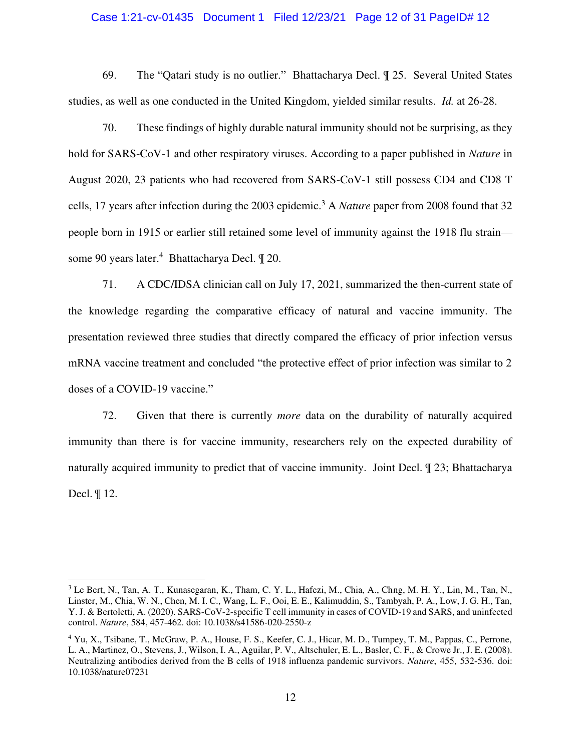#### Case 1:21-cv-01435 Document 1 Filed 12/23/21 Page 12 of 31 PageID# 12

69. The "Qatari study is no outlier." Bhattacharya Decl. ¶ 25. Several United States studies, as well as one conducted in the United Kingdom, yielded similar results. *Id.* at 26-28.

70. These findings of highly durable natural immunity should not be surprising, as they hold for SARS-CoV-1 and other respiratory viruses. According to a paper published in *Nature* in August 2020, 23 patients who had recovered from SARS-CoV-1 still possess CD4 and CD8 T cells, 17 years after infection during the 2003 epidemic.<sup>3</sup> A *Nature* paper from 2008 found that 32 people born in 1915 or earlier still retained some level of immunity against the 1918 flu strain some 90 years later.<sup>4</sup> Bhattacharya Decl.  $\mathbb{I}$  20.

71. A CDC/IDSA clinician call on July 17, 2021, summarized the then-current state of the knowledge regarding the comparative efficacy of natural and vaccine immunity. The presentation reviewed three studies that directly compared the efficacy of prior infection versus mRNA vaccine treatment and concluded "the protective effect of prior infection was similar to 2 doses of a COVID-19 vaccine."

72. Given that there is currently *more* data on the durability of naturally acquired immunity than there is for vaccine immunity, researchers rely on the expected durability of naturally acquired immunity to predict that of vaccine immunity. Joint Decl. ¶ 23; Bhattacharya Decl. ¶ 12.

<sup>&</sup>lt;sup>3</sup> Le Bert, N., Tan, A. T., Kunasegaran, K., Tham, C. Y. L., Hafezi, M., Chia, A., Chng, M. H. Y., Lin, M., Tan, N., Linster, M., Chia, W. N., Chen, M. I. C., Wang, L. F., Ooi, E. E., Kalimuddin, S., Tambyah, P. A., Low, J. G. H., Tan, Y. J. & Bertoletti, A. (2020). SARS-CoV-2-specific T cell immunity in cases of COVID-19 and SARS, and uninfected control. *Nature*, 584, 457-462. doi: 10.1038/s41586-020-2550-z

<sup>&</sup>lt;sup>4</sup> Yu, X., Tsibane, T., McGraw, P. A., House, F. S., Keefer, C. J., Hicar, M. D., Tumpey, T. M., Pappas, C., Perrone, L. A., Martinez, O., Stevens, J., Wilson, I. A., Aguilar, P. V., Altschuler, E. L., Basler, C. F., & Crowe Jr., J. E. (2008). Neutralizing antibodies derived from the B cells of 1918 influenza pandemic survivors. *Nature*, 455, 532-536. doi: 10.1038/nature07231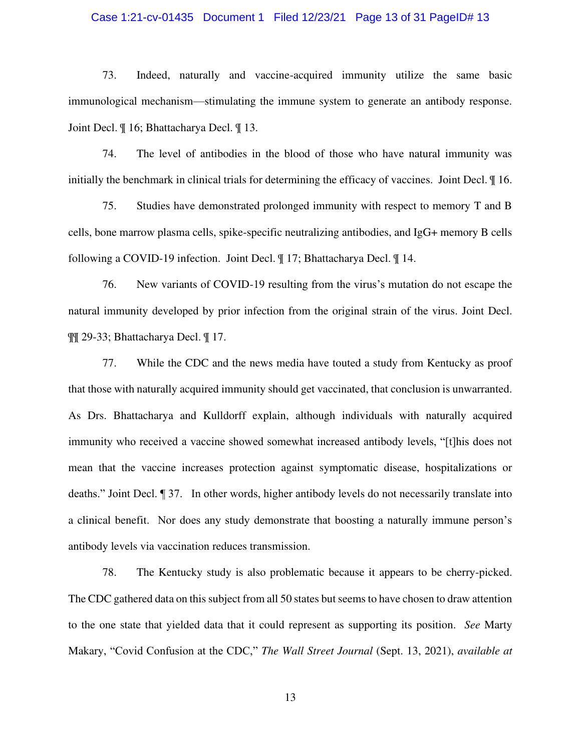### Case 1:21-cv-01435 Document 1 Filed 12/23/21 Page 13 of 31 PageID# 13

73. Indeed, naturally and vaccine-acquired immunity utilize the same basic immunological mechanism—stimulating the immune system to generate an antibody response. Joint Decl. ¶ 16; Bhattacharya Decl. ¶ 13.

74. The level of antibodies in the blood of those who have natural immunity was initially the benchmark in clinical trials for determining the efficacy of vaccines. Joint Decl. ¶ 16.

75. Studies have demonstrated prolonged immunity with respect to memory T and B cells, bone marrow plasma cells, spike-specific neutralizing antibodies, and IgG+ memory B cells following a COVID-19 infection. Joint Decl. ¶ 17; Bhattacharya Decl. ¶ 14.

76. New variants of COVID-19 resulting from the virus's mutation do not escape the natural immunity developed by prior infection from the original strain of the virus. Joint Decl. ¶¶ 29-33; Bhattacharya Decl. ¶ 17.

77. While the CDC and the news media have touted a study from Kentucky as proof that those with naturally acquired immunity should get vaccinated, that conclusion is unwarranted. As Drs. Bhattacharya and Kulldorff explain, although individuals with naturally acquired immunity who received a vaccine showed somewhat increased antibody levels, "[t]his does not mean that the vaccine increases protection against symptomatic disease, hospitalizations or deaths." Joint Decl. ¶ 37. In other words, higher antibody levels do not necessarily translate into a clinical benefit. Nor does any study demonstrate that boosting a naturally immune person's antibody levels via vaccination reduces transmission.

78. The Kentucky study is also problematic because it appears to be cherry-picked. The CDC gathered data on this subject from all 50 states but seems to have chosen to draw attention to the one state that yielded data that it could represent as supporting its position. *See* Marty Makary, "Covid Confusion at the CDC," *The Wall Street Journal* (Sept. 13, 2021), *available at*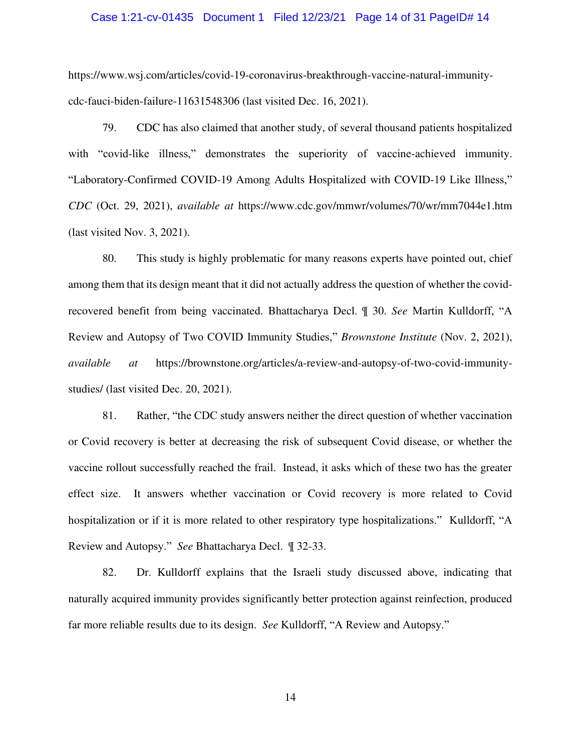#### Case 1:21-cv-01435 Document 1 Filed 12/23/21 Page 14 of 31 PageID# 14

https://www.wsj.com/articles/covid-19-coronavirus-breakthrough-vaccine-natural-immunitycdc-fauci-biden-failure-11631548306 (last visited Dec. 16, 2021).

79. CDC has also claimed that another study, of several thousand patients hospitalized with "covid-like illness," demonstrates the superiority of vaccine-achieved immunity. "Laboratory-Confirmed COVID-19 Among Adults Hospitalized with COVID-19 Like Illness," *CDC* (Oct. 29, 2021), *available at* https://www.cdc.gov/mmwr/volumes/70/wr/mm7044e1.htm (last visited Nov. 3, 2021).

80. This study is highly problematic for many reasons experts have pointed out, chief among them that its design meant that it did not actually address the question of whether the covidrecovered benefit from being vaccinated. Bhattacharya Decl. ¶ 30. *See* Martin Kulldorff, "A Review and Autopsy of Two COVID Immunity Studies," *Brownstone Institute* (Nov. 2, 2021), *available at* https://brownstone.org/articles/a-review-and-autopsy-of-two-covid-immunitystudies/ (last visited Dec. 20, 2021).

81. Rather, "the CDC study answers neither the direct question of whether vaccination or Covid recovery is better at decreasing the risk of subsequent Covid disease, or whether the vaccine rollout successfully reached the frail. Instead, it asks which of these two has the greater effect size. It answers whether vaccination or Covid recovery is more related to Covid hospitalization or if it is more related to other respiratory type hospitalizations." Kulldorff, "A Review and Autopsy." *See* Bhattacharya Decl. ¶ 32-33.

82. Dr. Kulldorff explains that the Israeli study discussed above, indicating that naturally acquired immunity provides significantly better protection against reinfection, produced far more reliable results due to its design. *See* Kulldorff, "A Review and Autopsy."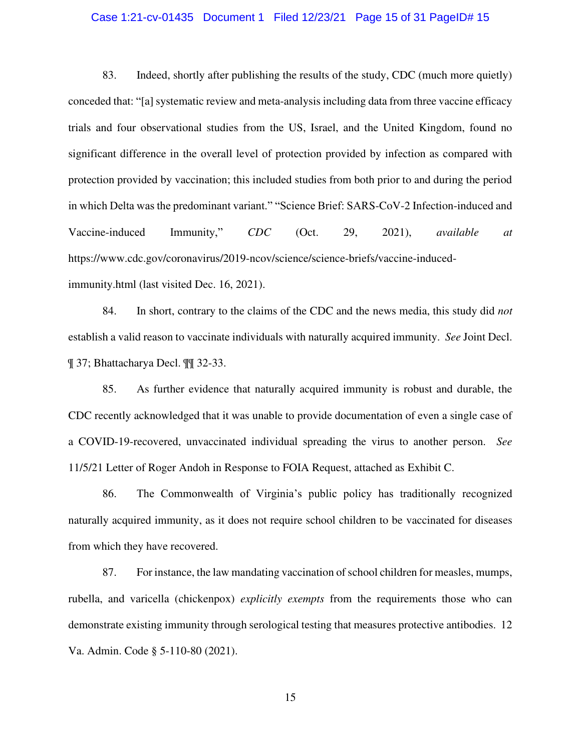### Case 1:21-cv-01435 Document 1 Filed 12/23/21 Page 15 of 31 PageID# 15

83. Indeed, shortly after publishing the results of the study, CDC (much more quietly) conceded that: "[a] systematic review and meta-analysis including data from three vaccine efficacy trials and four observational studies from the US, Israel, and the United Kingdom, found no significant difference in the overall level of protection provided by infection as compared with protection provided by vaccination; this included studies from both prior to and during the period in which Delta was the predominant variant." "Science Brief: SARS-CoV-2 Infection-induced and Vaccine-induced Immunity," *CDC* (Oct. 29, 2021), *available at*  https://www.cdc.gov/coronavirus/2019-ncov/science/science-briefs/vaccine-inducedimmunity.html (last visited Dec. 16, 2021).

84. In short, contrary to the claims of the CDC and the news media, this study did *not* establish a valid reason to vaccinate individuals with naturally acquired immunity. *See* Joint Decl. ¶ 37; Bhattacharya Decl. ¶¶ 32-33.

85. As further evidence that naturally acquired immunity is robust and durable, the CDC recently acknowledged that it was unable to provide documentation of even a single case of a COVID-19-recovered, unvaccinated individual spreading the virus to another person. *See*  11/5/21 Letter of Roger Andoh in Response to FOIA Request, attached as Exhibit C.

86. The Commonwealth of Virginia's public policy has traditionally recognized naturally acquired immunity, as it does not require school children to be vaccinated for diseases from which they have recovered.

87. For instance, the law mandating vaccination of school children for measles, mumps, rubella, and varicella (chickenpox) *explicitly exempts* from the requirements those who can demonstrate existing immunity through serological testing that measures protective antibodies. 12 Va. Admin. Code § 5-110-80 (2021).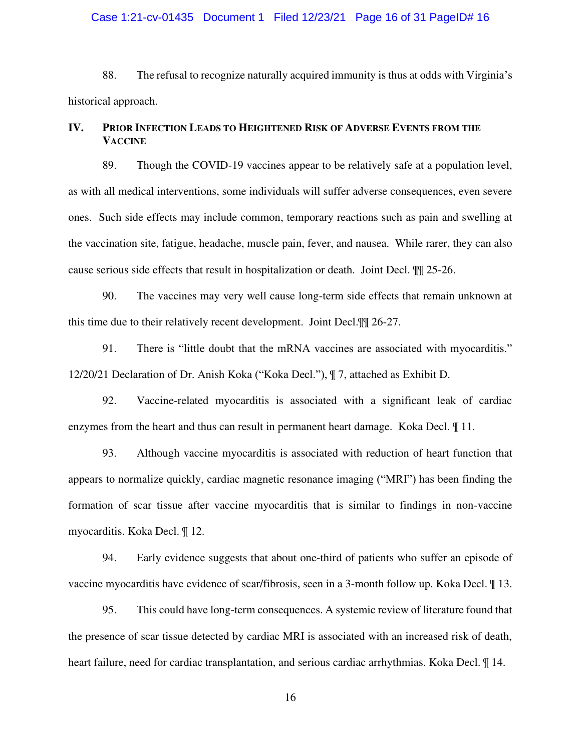#### Case 1:21-cv-01435 Document 1 Filed 12/23/21 Page 16 of 31 PageID# 16

88. The refusal to recognize naturally acquired immunity is thus at odds with Virginia's historical approach.

# **IV. PRIOR INFECTION LEADS TO HEIGHTENED RISK OF ADVERSE EVENTS FROM THE VACCINE**

89. Though the COVID-19 vaccines appear to be relatively safe at a population level, as with all medical interventions, some individuals will suffer adverse consequences, even severe ones. Such side effects may include common, temporary reactions such as pain and swelling at the vaccination site, fatigue, headache, muscle pain, fever, and nausea. While rarer, they can also cause serious side effects that result in hospitalization or death. Joint Decl. ¶¶ 25-26.

90. The vaccines may very well cause long-term side effects that remain unknown at this time due to their relatively recent development. Joint Decl.¶¶ 26-27.

91. There is "little doubt that the mRNA vaccines are associated with myocarditis." 12/20/21 Declaration of Dr. Anish Koka ("Koka Decl."), ¶ 7, attached as Exhibit D.

92. Vaccine-related myocarditis is associated with a significant leak of cardiac enzymes from the heart and thus can result in permanent heart damage. Koka Decl. ¶ 11.

93. Although vaccine myocarditis is associated with reduction of heart function that appears to normalize quickly, cardiac magnetic resonance imaging ("MRI") has been finding the formation of scar tissue after vaccine myocarditis that is similar to findings in non-vaccine myocarditis. Koka Decl. ¶ 12.

94. Early evidence suggests that about one-third of patients who suffer an episode of vaccine myocarditis have evidence of scar/fibrosis, seen in a 3-month follow up. Koka Decl. ¶ 13.

95. This could have long-term consequences. A systemic review of literature found that the presence of scar tissue detected by cardiac MRI is associated with an increased risk of death, heart failure, need for cardiac transplantation, and serious cardiac arrhythmias. Koka Decl.  $\P$  14.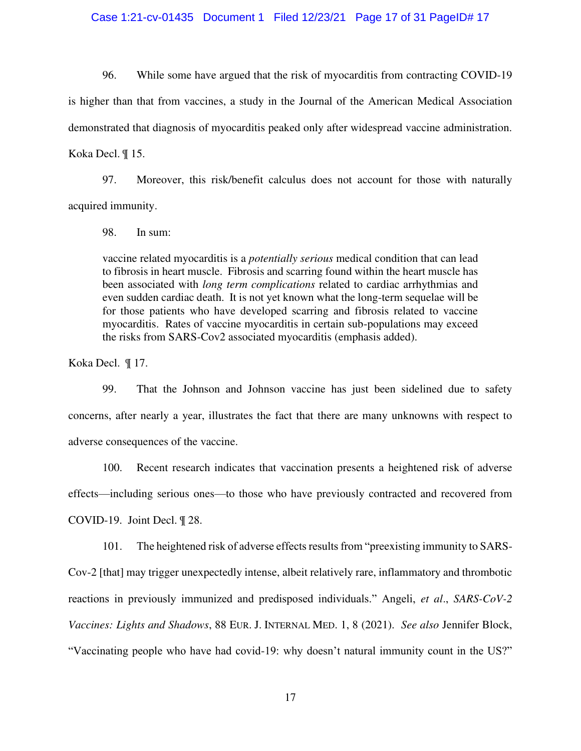#### Case 1:21-cv-01435 Document 1 Filed 12/23/21 Page 17 of 31 PageID# 17

96. While some have argued that the risk of myocarditis from contracting COVID-19 is higher than that from vaccines, a study in the Journal of the American Medical Association demonstrated that diagnosis of myocarditis peaked only after widespread vaccine administration. Koka Decl. ¶ 15.

97. Moreover, this risk/benefit calculus does not account for those with naturally acquired immunity.

98. In sum:

vaccine related myocarditis is a *potentially serious* medical condition that can lead to fibrosis in heart muscle. Fibrosis and scarring found within the heart muscle has been associated with *long term complications* related to cardiac arrhythmias and even sudden cardiac death. It is not yet known what the long-term sequelae will be for those patients who have developed scarring and fibrosis related to vaccine myocarditis. Rates of vaccine myocarditis in certain sub-populations may exceed the risks from SARS-Cov2 associated myocarditis (emphasis added).

Koka Decl. ¶ 17.

99. That the Johnson and Johnson vaccine has just been sidelined due to safety concerns, after nearly a year, illustrates the fact that there are many unknowns with respect to adverse consequences of the vaccine.

100. Recent research indicates that vaccination presents a heightened risk of adverse effects—including serious ones—to those who have previously contracted and recovered from COVID-19. Joint Decl. ¶ 28.

101. The heightened risk of adverse effects results from "preexisting immunity to SARS-Cov-2 [that] may trigger unexpectedly intense, albeit relatively rare, inflammatory and thrombotic reactions in previously immunized and predisposed individuals." Angeli, *et al*., *SARS-CoV-2 Vaccines: Lights and Shadows*, 88 EUR. J. INTERNAL MED. 1, 8 (2021). *See also* Jennifer Block, "Vaccinating people who have had covid-19: why doesn't natural immunity count in the US?"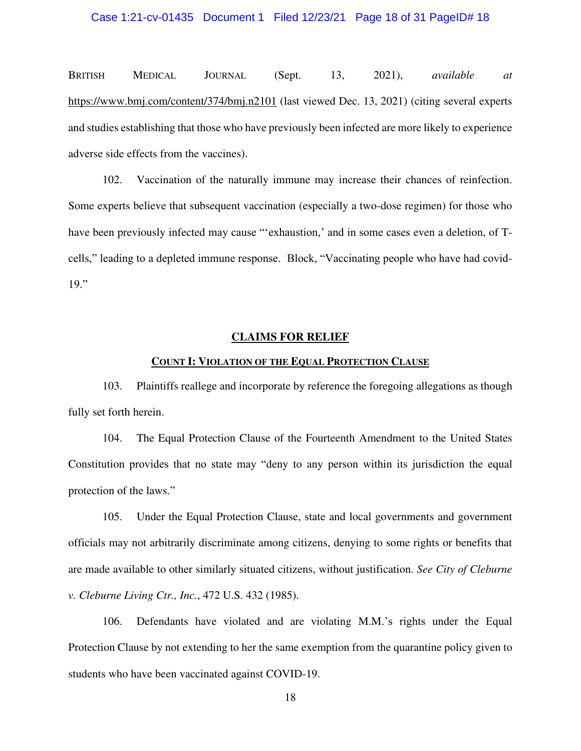BRITISH MEDICAL JOURNAL (Sept. 13, 2021), *available at* <https://www.bmj.com/content/374/bmj.n2101>(last viewed Dec. 13, 2021) (citing several experts and studies establishing that those who have previously been infected are more likely to experience adverse side effects from the vaccines).

102. Vaccination of the naturally immune may increase their chances of reinfection. Some experts believe that subsequent vaccination (especially a two-dose regimen) for those who have been previously infected may cause "'exhaustion,' and in some cases even a deletion, of Tcells," leading to a depleted immune response. Block, "Vaccinating people who have had covid-19."

#### **CLAIMS FOR RELIEF**

#### **COUNT I: VIOLATION OF THE EQUAL PROTECTION CLAUSE**

103. Plaintiffs reallege and incorporate by reference the foregoing allegations as though fully set forth herein.

104. The Equal Protection Clause of the Fourteenth Amendment to the United States Constitution provides that no state may "deny to any person within its jurisdiction the equal protection of the laws."

105. Under the Equal Protection Clause, state and local governments and government officials may not arbitrarily discriminate among citizens, denying to some rights or benefits that are made available to other similarly situated citizens, without justification. *See City of Cleburne v. Cleburne Living Ctr., Inc.*, 472 U.S. 432 (1985).

106. Defendants have violated and are violating M.M.'s rights under the Equal Protection Clause by not extending to her the same exemption from the quarantine policy given to students who have been vaccinated against COVID-19.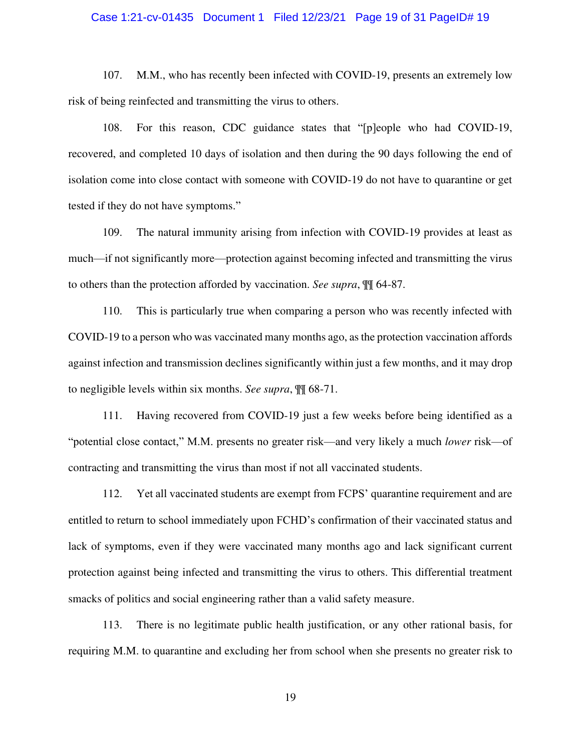#### Case 1:21-cv-01435 Document 1 Filed 12/23/21 Page 19 of 31 PageID# 19

107. M.M., who has recently been infected with COVID-19, presents an extremely low risk of being reinfected and transmitting the virus to others.

108. For this reason, CDC guidance states that "[p]eople who had COVID-19, recovered, and completed 10 days of isolation and then during the 90 days following the end of isolation come into close contact with someone with COVID-19 do not have to quarantine or get tested if they do not have symptoms."

109. The natural immunity arising from infection with COVID-19 provides at least as much—if not significantly more—protection against becoming infected and transmitting the virus to others than the protection afforded by vaccination. *See supra*, ¶¶ 64-87.

110. This is particularly true when comparing a person who was recently infected with COVID-19 to a person who was vaccinated many months ago, as the protection vaccination affords against infection and transmission declines significantly within just a few months, and it may drop to negligible levels within six months. *See supra*, ¶¶ 68-71.

111. Having recovered from COVID-19 just a few weeks before being identified as a "potential close contact," M.M. presents no greater risk—and very likely a much *lower* risk—of contracting and transmitting the virus than most if not all vaccinated students.

112. Yet all vaccinated students are exempt from FCPS' quarantine requirement and are entitled to return to school immediately upon FCHD's confirmation of their vaccinated status and lack of symptoms, even if they were vaccinated many months ago and lack significant current protection against being infected and transmitting the virus to others. This differential treatment smacks of politics and social engineering rather than a valid safety measure.

113. There is no legitimate public health justification, or any other rational basis, for requiring M.M. to quarantine and excluding her from school when she presents no greater risk to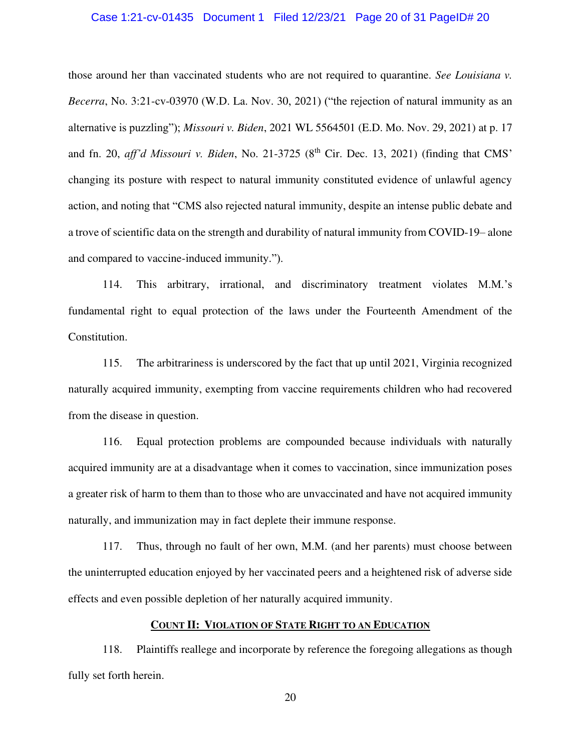#### Case 1:21-cv-01435 Document 1 Filed 12/23/21 Page 20 of 31 PageID# 20

those around her than vaccinated students who are not required to quarantine. *See Louisiana v. Becerra*, No. 3:21-cv-03970 (W.D. La. Nov. 30, 2021) ("the rejection of natural immunity as an alternative is puzzling"); *Missouri v. Biden*, 2021 WL 5564501 (E.D. Mo. Nov. 29, 2021) at p. 17 and fn. 20, *aff'd Missouri v. Biden*, No. 21-3725 (8<sup>th</sup> Cir. Dec. 13, 2021) (finding that CMS' changing its posture with respect to natural immunity constituted evidence of unlawful agency action, and noting that "CMS also rejected natural immunity, despite an intense public debate and a trove of scientific data on the strength and durability of natural immunity from COVID-19– alone and compared to vaccine-induced immunity.").

114. This arbitrary, irrational, and discriminatory treatment violates M.M.'s fundamental right to equal protection of the laws under the Fourteenth Amendment of the Constitution.

115. The arbitrariness is underscored by the fact that up until 2021, Virginia recognized naturally acquired immunity, exempting from vaccine requirements children who had recovered from the disease in question.

116. Equal protection problems are compounded because individuals with naturally acquired immunity are at a disadvantage when it comes to vaccination, since immunization poses a greater risk of harm to them than to those who are unvaccinated and have not acquired immunity naturally, and immunization may in fact deplete their immune response.

117. Thus, through no fault of her own, M.M. (and her parents) must choose between the uninterrupted education enjoyed by her vaccinated peers and a heightened risk of adverse side effects and even possible depletion of her naturally acquired immunity.

## **COUNT II: VIOLATION OF STATE RIGHT TO AN EDUCATION**

118. Plaintiffs reallege and incorporate by reference the foregoing allegations as though fully set forth herein.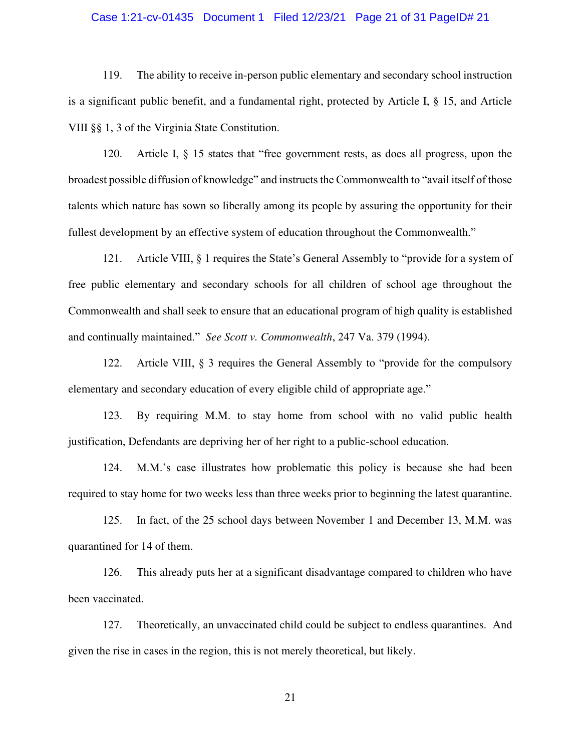### Case 1:21-cv-01435 Document 1 Filed 12/23/21 Page 21 of 31 PageID# 21

119. The ability to receive in-person public elementary and secondary school instruction is a significant public benefit, and a fundamental right, protected by Article I, § 15, and Article VIII §§ 1, 3 of the Virginia State Constitution.

120. Article I, § 15 states that "free government rests, as does all progress, upon the broadest possible diffusion of knowledge" and instructs the Commonwealth to "avail itself of those talents which nature has sown so liberally among its people by assuring the opportunity for their fullest development by an effective system of education throughout the Commonwealth."

121. Article VIII, § 1 requires the State's General Assembly to "provide for a system of free public elementary and secondary schools for all children of school age throughout the Commonwealth and shall seek to ensure that an educational program of high quality is established and continually maintained." *See Scott v. Commonwealth*, 247 Va. 379 (1994).

122. Article VIII, § 3 requires the General Assembly to "provide for the compulsory elementary and secondary education of every eligible child of appropriate age."

123. By requiring M.M. to stay home from school with no valid public health justification, Defendants are depriving her of her right to a public-school education.

124. M.M.'s case illustrates how problematic this policy is because she had been required to stay home for two weeks less than three weeks prior to beginning the latest quarantine.

125. In fact, of the 25 school days between November 1 and December 13, M.M. was quarantined for 14 of them.

126. This already puts her at a significant disadvantage compared to children who have been vaccinated.

127. Theoretically, an unvaccinated child could be subject to endless quarantines. And given the rise in cases in the region, this is not merely theoretical, but likely.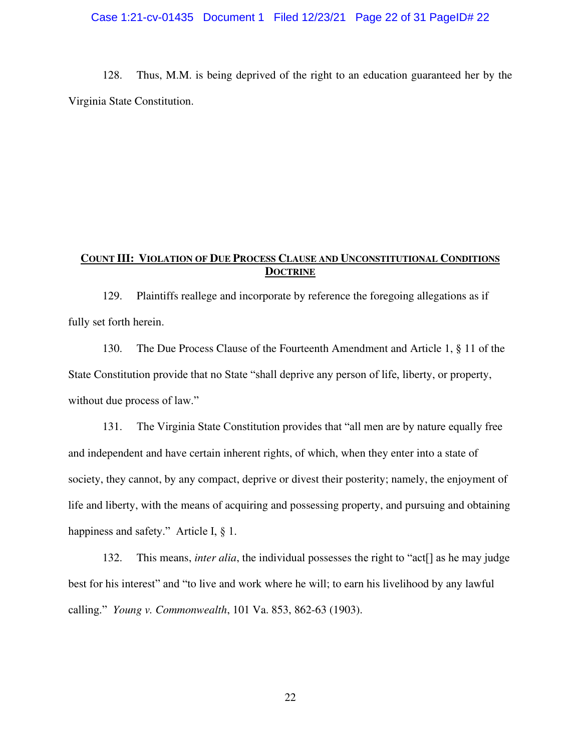## Case 1:21-cv-01435 Document 1 Filed 12/23/21 Page 22 of 31 PageID# 22

128. Thus, M.M. is being deprived of the right to an education guaranteed her by the Virginia State Constitution.

# **COUNT III: VIOLATION OF DUE PROCESS CLAUSE AND UNCONSTITUTIONAL CONDITIONS DOCTRINE**

129. Plaintiffs reallege and incorporate by reference the foregoing allegations as if fully set forth herein.

130. The Due Process Clause of the Fourteenth Amendment and Article 1, § 11 of the State Constitution provide that no State "shall deprive any person of life, liberty, or property, without due process of law."

131. The Virginia State Constitution provides that "all men are by nature equally free and independent and have certain inherent rights, of which, when they enter into a state of society, they cannot, by any compact, deprive or divest their posterity; namely, the enjoyment of life and liberty, with the means of acquiring and possessing property, and pursuing and obtaining happiness and safety." Article I, § 1.

132. This means, *inter alia*, the individual possesses the right to "act[] as he may judge best for his interest" and "to live and work where he will; to earn his livelihood by any lawful calling." *Young v. Commonwealth*, 101 Va. 853, 862-63 (1903).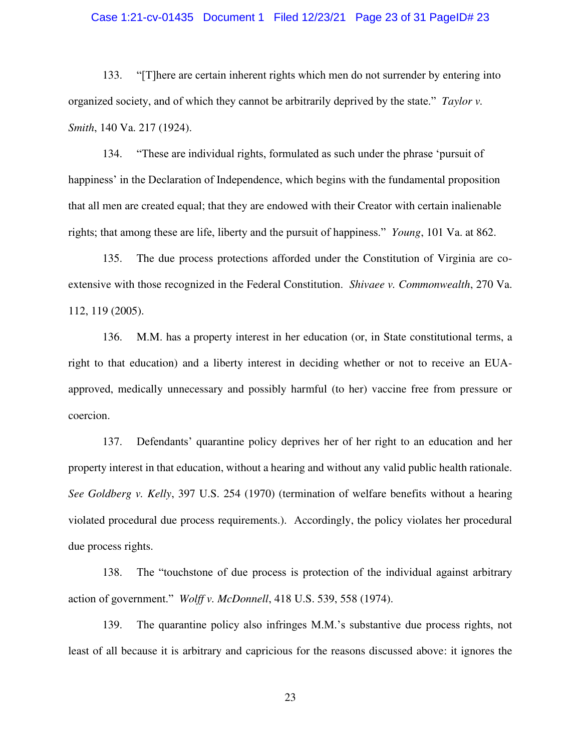#### Case 1:21-cv-01435 Document 1 Filed 12/23/21 Page 23 of 31 PageID# 23

133. "[T]here are certain inherent rights which men do not surrender by entering into organized society, and of which they cannot be arbitrarily deprived by the state." *Taylor v. Smith*, 140 Va. 217 (1924).

134. "These are individual rights, formulated as such under the phrase 'pursuit of happiness' in the Declaration of Independence, which begins with the fundamental proposition that all men are created equal; that they are endowed with their Creator with certain inalienable rights; that among these are life, liberty and the pursuit of happiness." *Young*, 101 Va. at 862.

135. The due process protections afforded under the Constitution of Virginia are coextensive with those recognized in the Federal Constitution. *Shivaee v. Commonwealth*, 270 Va. 112, 119 (2005).

136. M.M. has a property interest in her education (or, in State constitutional terms, a right to that education) and a liberty interest in deciding whether or not to receive an EUAapproved, medically unnecessary and possibly harmful (to her) vaccine free from pressure or coercion.

137. Defendants' quarantine policy deprives her of her right to an education and her property interest in that education, without a hearing and without any valid public health rationale. *See Goldberg v. Kelly*, 397 U.S. 254 (1970) (termination of welfare benefits without a hearing violated procedural due process requirements.). Accordingly, the policy violates her procedural due process rights.

138. The "touchstone of due process is protection of the individual against arbitrary action of government." *Wolff v. McDonnell*, 418 U.S. 539, 558 (1974).

139. The quarantine policy also infringes M.M.'s substantive due process rights, not least of all because it is arbitrary and capricious for the reasons discussed above: it ignores the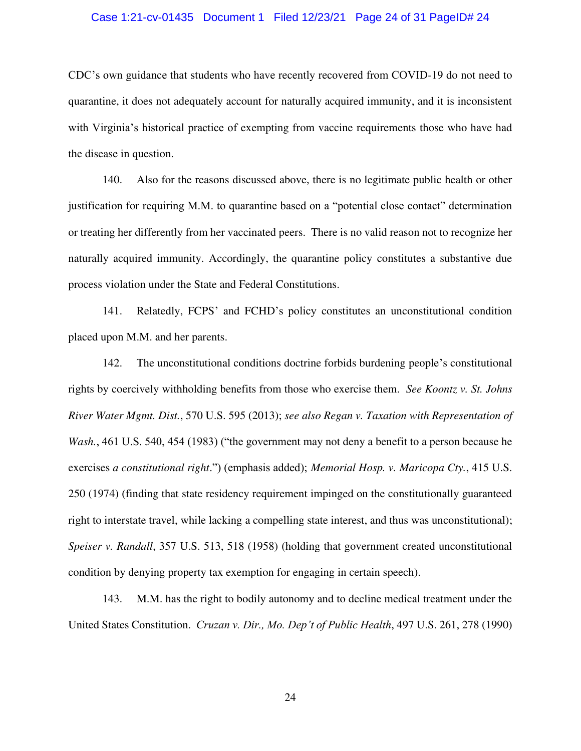#### Case 1:21-cv-01435 Document 1 Filed 12/23/21 Page 24 of 31 PageID# 24

CDC's own guidance that students who have recently recovered from COVID-19 do not need to quarantine, it does not adequately account for naturally acquired immunity, and it is inconsistent with Virginia's historical practice of exempting from vaccine requirements those who have had the disease in question.

140. Also for the reasons discussed above, there is no legitimate public health or other justification for requiring M.M. to quarantine based on a "potential close contact" determination or treating her differently from her vaccinated peers. There is no valid reason not to recognize her naturally acquired immunity. Accordingly, the quarantine policy constitutes a substantive due process violation under the State and Federal Constitutions.

141. Relatedly, FCPS' and FCHD's policy constitutes an unconstitutional condition placed upon M.M. and her parents.

142. The unconstitutional conditions doctrine forbids burdening people's constitutional rights by coercively withholding benefits from those who exercise them. *See Koontz v. St. Johns River Water Mgmt. Dist.*, 570 U.S. 595 (2013); *see also Regan v. Taxation with Representation of Wash.*, 461 U.S. 540, 454 (1983) ("the government may not deny a benefit to a person because he exercises *a constitutional right*.") (emphasis added); *Memorial Hosp. v. Maricopa Cty.*, 415 U.S. 250 (1974) (finding that state residency requirement impinged on the constitutionally guaranteed right to interstate travel, while lacking a compelling state interest, and thus was unconstitutional); *Speiser v. Randall*, 357 U.S. 513, 518 (1958) (holding that government created unconstitutional condition by denying property tax exemption for engaging in certain speech).

143. M.M. has the right to bodily autonomy and to decline medical treatment under the United States Constitution. *Cruzan v. Dir., Mo. Dep't of Public Health*, 497 U.S. 261, 278 (1990)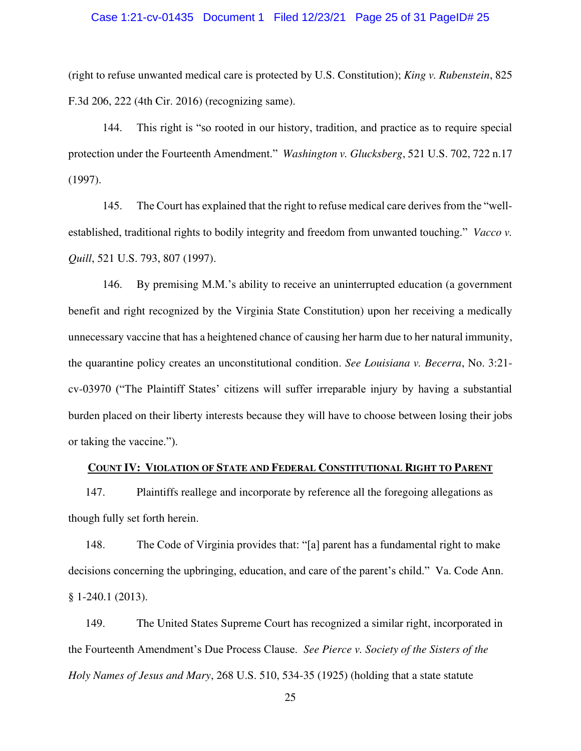#### Case 1:21-cv-01435 Document 1 Filed 12/23/21 Page 25 of 31 PageID# 25

(right to refuse unwanted medical care is protected by U.S. Constitution); *King v. Rubenstein*, 825 F.3d 206, 222 (4th Cir. 2016) (recognizing same).

144. This right is "so rooted in our history, tradition, and practice as to require special protection under the Fourteenth Amendment." *Washington v. Glucksberg*, 521 U.S. 702, 722 n.17 (1997).

145. The Court has explained that the right to refuse medical care derives from the "wellestablished, traditional rights to bodily integrity and freedom from unwanted touching." *Vacco v. Quill*, 521 U.S. 793, 807 (1997).

146. By premising M.M.'s ability to receive an uninterrupted education (a government benefit and right recognized by the Virginia State Constitution) upon her receiving a medically unnecessary vaccine that has a heightened chance of causing her harm due to her natural immunity, the quarantine policy creates an unconstitutional condition. *See Louisiana v. Becerra*, No. 3:21 cv-03970 ("The Plaintiff States' citizens will suffer irreparable injury by having a substantial burden placed on their liberty interests because they will have to choose between losing their jobs or taking the vaccine.").

## **COUNT IV: VIOLATION OF STATE AND FEDERAL CONSTITUTIONAL RIGHT TO PARENT**

147. Plaintiffs reallege and incorporate by reference all the foregoing allegations as though fully set forth herein.

148. The Code of Virginia provides that: "[a] parent has a fundamental right to make decisions concerning the upbringing, education, and care of the parent's child." Va. Code Ann. § 1-240.1 (2013).

149. The United States Supreme Court has recognized a similar right, incorporated in the Fourteenth Amendment's Due Process Clause. *See Pierce v. Society of the Sisters of the Holy Names of Jesus and Mary*, 268 U.S. 510, 534-35 (1925) (holding that a state statute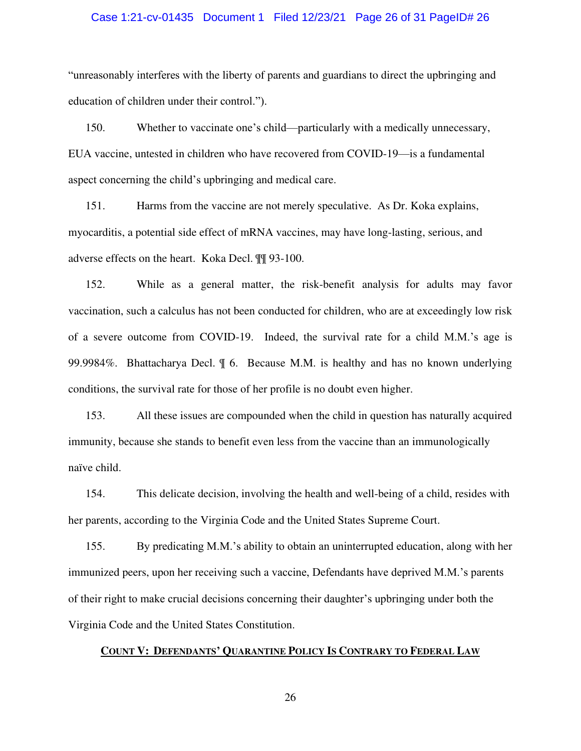#### Case 1:21-cv-01435 Document 1 Filed 12/23/21 Page 26 of 31 PageID# 26

"unreasonably interferes with the liberty of parents and guardians to direct the upbringing and education of children under their control.").

150. Whether to vaccinate one's child—particularly with a medically unnecessary, EUA vaccine, untested in children who have recovered from COVID-19—is a fundamental aspect concerning the child's upbringing and medical care.

151. Harms from the vaccine are not merely speculative. As Dr. Koka explains, myocarditis, a potential side effect of mRNA vaccines, may have long-lasting, serious, and adverse effects on the heart. Koka Decl. ¶¶ 93-100.

152. While as a general matter, the risk-benefit analysis for adults may favor vaccination, such a calculus has not been conducted for children, who are at exceedingly low risk of a severe outcome from COVID-19. Indeed, the survival rate for a child M.M.'s age is 99.9984%. Bhattacharya Decl. ¶ 6. Because M.M. is healthy and has no known underlying conditions, the survival rate for those of her profile is no doubt even higher.

153. All these issues are compounded when the child in question has naturally acquired immunity, because she stands to benefit even less from the vaccine than an immunologically naïve child.

154. This delicate decision, involving the health and well-being of a child, resides with her parents, according to the Virginia Code and the United States Supreme Court.

155. By predicating M.M.'s ability to obtain an uninterrupted education, along with her immunized peers, upon her receiving such a vaccine, Defendants have deprived M.M.'s parents of their right to make crucial decisions concerning their daughter's upbringing under both the Virginia Code and the United States Constitution.

## **COUNT V: DEFENDANTS' QUARANTINE POLICY IS CONTRARY TO FEDERAL LAW**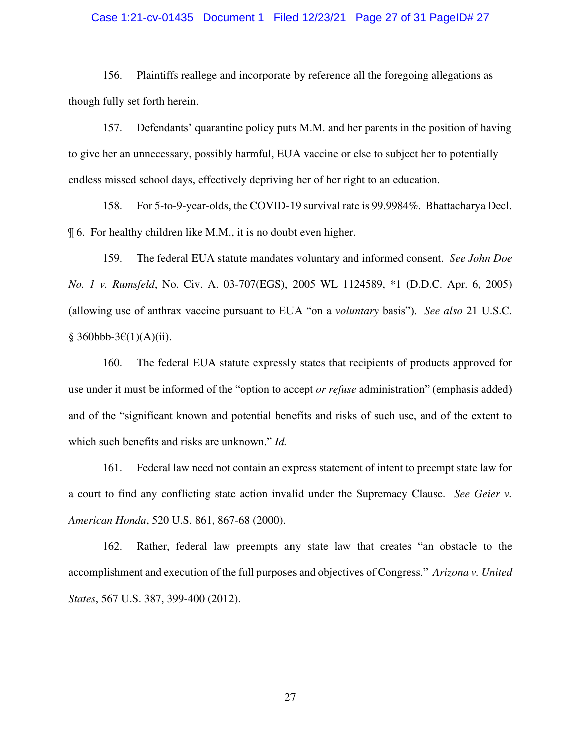#### Case 1:21-cv-01435 Document 1 Filed 12/23/21 Page 27 of 31 PageID# 27

156. Plaintiffs reallege and incorporate by reference all the foregoing allegations as though fully set forth herein.

157. Defendants' quarantine policy puts M.M. and her parents in the position of having to give her an unnecessary, possibly harmful, EUA vaccine or else to subject her to potentially endless missed school days, effectively depriving her of her right to an education.

158. For 5-to-9-year-olds, the COVID-19 survival rate is 99.9984%. Bhattacharya Decl. ¶ 6. For healthy children like M.M., it is no doubt even higher.

159. The federal EUA statute mandates voluntary and informed consent. *See John Doe No. 1 v. Rumsfeld*, No. Civ. A. 03-707(EGS), 2005 WL 1124589, \*1 (D.D.C. Apr. 6, 2005) (allowing use of anthrax vaccine pursuant to EUA "on a *voluntary* basis"). *See also* 21 U.S.C. § 360bbb-3€(1)(A)(ii).

160. The federal EUA statute expressly states that recipients of products approved for use under it must be informed of the "option to accept *or refuse* administration" (emphasis added) and of the "significant known and potential benefits and risks of such use, and of the extent to which such benefits and risks are unknown." *Id.*

161. Federal law need not contain an express statement of intent to preempt state law for a court to find any conflicting state action invalid under the Supremacy Clause. *See Geier v. American Honda*, 520 U.S. 861, 867-68 (2000).

162. Rather, federal law preempts any state law that creates "an obstacle to the accomplishment and execution of the full purposes and objectives of Congress." *Arizona v. United States*, 567 U.S. 387, 399-400 (2012).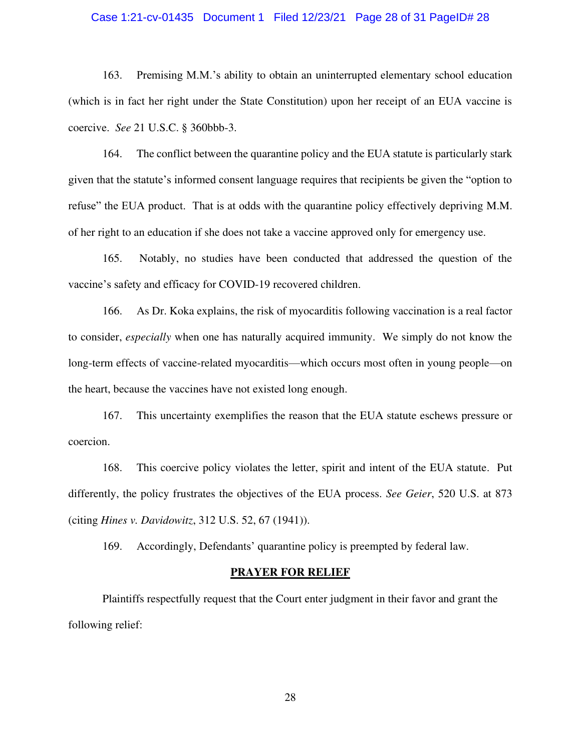#### Case 1:21-cv-01435 Document 1 Filed 12/23/21 Page 28 of 31 PageID# 28

163. Premising M.M.'s ability to obtain an uninterrupted elementary school education (which is in fact her right under the State Constitution) upon her receipt of an EUA vaccine is coercive. *See* 21 U.S.C. § 360bbb-3.

164. The conflict between the quarantine policy and the EUA statute is particularly stark given that the statute's informed consent language requires that recipients be given the "option to refuse" the EUA product. That is at odds with the quarantine policy effectively depriving M.M. of her right to an education if she does not take a vaccine approved only for emergency use.

165. Notably, no studies have been conducted that addressed the question of the vaccine's safety and efficacy for COVID-19 recovered children.

166. As Dr. Koka explains, the risk of myocarditis following vaccination is a real factor to consider, *especially* when one has naturally acquired immunity. We simply do not know the long-term effects of vaccine-related myocarditis—which occurs most often in young people—on the heart, because the vaccines have not existed long enough.

167. This uncertainty exemplifies the reason that the EUA statute eschews pressure or coercion.

168. This coercive policy violates the letter, spirit and intent of the EUA statute. Put differently, the policy frustrates the objectives of the EUA process. *See Geier*, 520 U.S. at 873 (citing *Hines v. Davidowitz*, 312 U.S. 52, 67 (1941)).

169. Accordingly, Defendants' quarantine policy is preempted by federal law.

#### **PRAYER FOR RELIEF**

 Plaintiffs respectfully request that the Court enter judgment in their favor and grant the following relief: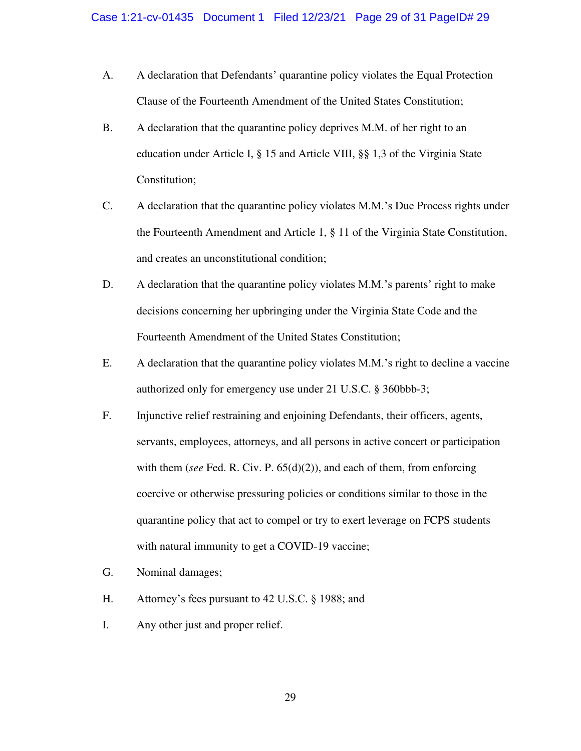- A. A declaration that Defendants' quarantine policy violates the Equal Protection Clause of the Fourteenth Amendment of the United States Constitution;
- B. A declaration that the quarantine policy deprives M.M. of her right to an education under Article I, § 15 and Article VIII, §§ 1,3 of the Virginia State Constitution;
- C. A declaration that the quarantine policy violates M.M.'s Due Process rights under the Fourteenth Amendment and Article 1, § 11 of the Virginia State Constitution, and creates an unconstitutional condition;
- D. A declaration that the quarantine policy violates M.M.'s parents' right to make decisions concerning her upbringing under the Virginia State Code and the Fourteenth Amendment of the United States Constitution;
- E. A declaration that the quarantine policy violates M.M.'s right to decline a vaccine authorized only for emergency use under 21 U.S.C. § 360bbb-3;
- F. Injunctive relief restraining and enjoining Defendants, their officers, agents, servants, employees, attorneys, and all persons in active concert or participation with them (*see* Fed. R. Civ. P. 65(d)(2)), and each of them, from enforcing coercive or otherwise pressuring policies or conditions similar to those in the quarantine policy that act to compel or try to exert leverage on FCPS students with natural immunity to get a COVID-19 vaccine;
- G. Nominal damages;
- H. Attorney's fees pursuant to 42 U.S.C. § 1988; and
- I. Any other just and proper relief.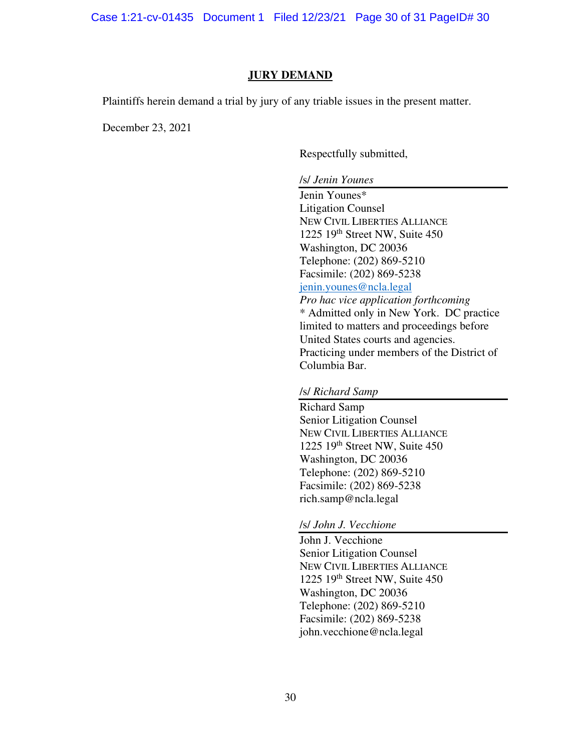Case 1:21-cv-01435 Document 1 Filed 12/23/21 Page 30 of 31 PageID# 30

## **JURY DEMAND**

Plaintiffs herein demand a trial by jury of any triable issues in the present matter.

December 23, 2021

Respectfully submitted,

/s/ *Jenin Younes*

Jenin Younes\* Litigation Counsel NEW CIVIL LIBERTIES ALLIANCE 1225 19th Street NW, Suite 450 Washington, DC 20036 Telephone: (202) 869-5210 Facsimile: (202) 869-5238 [jenin.younes@ncla.legal](mailto:jenin.younes@ncla.legal) *Pro hac vice application forthcoming*  \* Admitted only in New York. DC practice limited to matters and proceedings before United States courts and agencies. Practicing under members of the District of Columbia Bar.

## /s/ *Richard Samp*

Richard Samp Senior Litigation Counsel NEW CIVIL LIBERTIES ALLIANCE 1225 19th Street NW, Suite 450 Washington, DC 20036 Telephone: (202) 869-5210 Facsimile: (202) 869-5238 rich.samp@ncla.legal

#### /s/ *John J. Vecchione*

John J. Vecchione Senior Litigation Counsel NEW CIVIL LIBERTIES ALLIANCE 1225 19<sup>th</sup> Street NW, Suite 450 Washington, DC 20036 Telephone: (202) 869-5210 Facsimile: (202) 869-5238 john.vecchione@ncla.legal